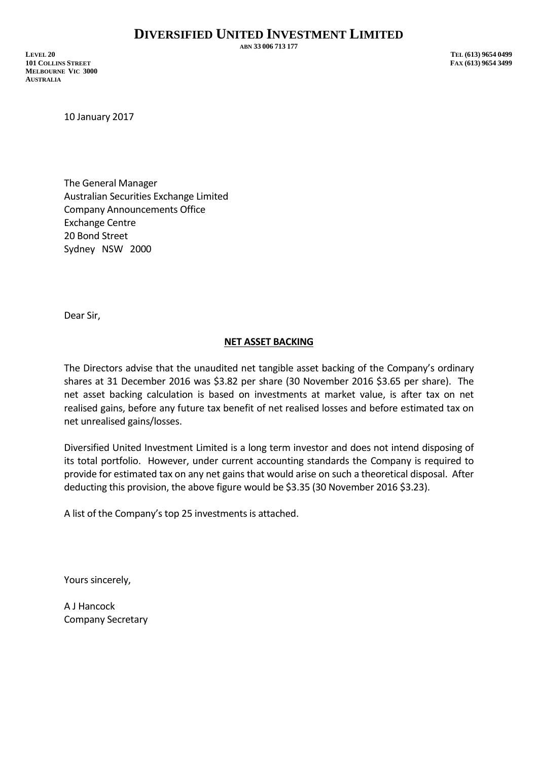**ABN 33 006 713 177**

**LEVEL 20 TEL (613) 9654 0499 101 COLLINS STREET FAX (613) 9654 3499 MELBOURNE VIC 3000 AUSTRALIA**

10 January 2017

The General Manager Australian Securities Exchange Limited Company Announcements Office Exchange Centre 20 Bond Street Sydney NSW 2000

Dear Sir,

## **NET ASSET BACKING**

The Directors advise that the unaudited net tangible asset backing of the Company's ordinary shares at 31 December 2016 was \$3.82 per share (30 November 2016 \$3.65 per share). The net asset backing calculation is based on investments at market value, is after tax on net realised gains, before any future tax benefit of net realised losses and before estimated tax on net unrealised gains/losses.

Diversified United Investment Limited is a long term investor and does not intend disposing of its total portfolio. However, under current accounting standards the Company is required to provide for estimated tax on any net gains that would arise on such a theoretical disposal. After deducting this provision, the above figure would be \$3.35 (30 November 2016 \$3.23).

A list of the Company's top 25 investments is attached.

Yours sincerely,

A J Hancock Company Secretary